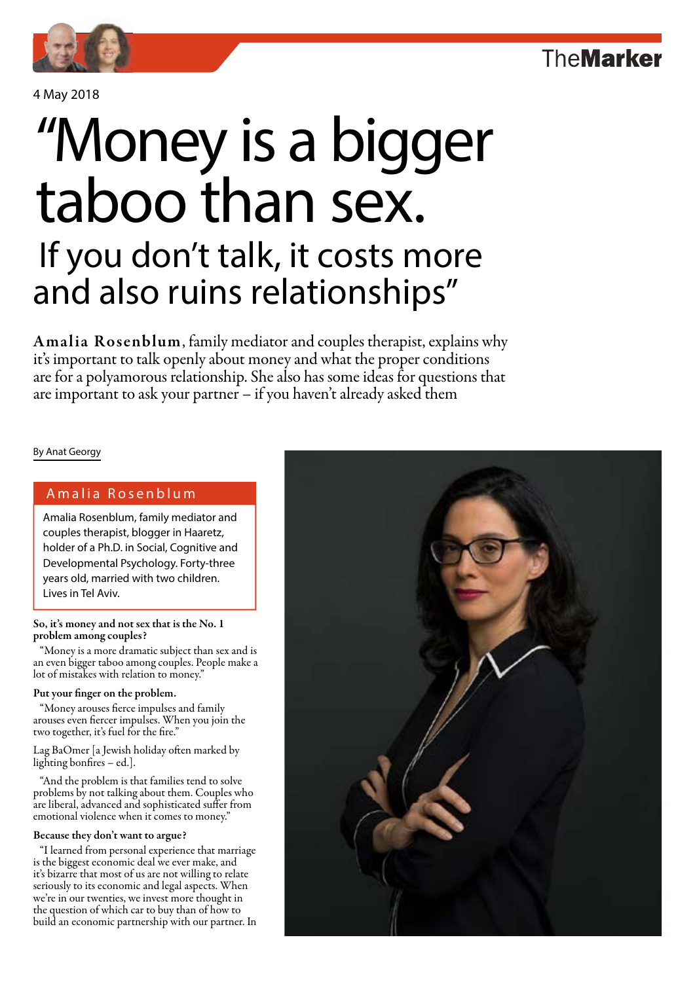4 May 2018

# If you don't talk, it costs more and also ruins relationships" "Money is a bigger taboo than sex.

Amalia Rosenblum, family mediator and couples therapist, explains why it's important to talk openly about money and what the proper conditions are for a polyamorous relationship. She also has some ideas for questions that are important to ask your partner – if you haven't already asked them

By Anat Georgy

#### Amalia Rosenblum

Amalia Rosenblum, family mediator and couples therapist, blogger in Haaretz, holder of a Ph.D. in Social, Cognitive and Developmental Psychology. Forty-three years old, married with two children. Lives in Tel Aviv.

So, it's money and not sex that is the No. 1 problem among couples?

"Money is a more dramatic subject than sex and is an even bigger taboo among couples. People make a lot of mistakes with relation to money.'

#### Put your finger on the problem.

"Money arouses fierce impulses and family arouses even fiercer impulses. When you join the two together, it's fuel for the fire."

Lag BaOmer [a Jewish holiday often marked by lighting bonfires – ed.].

"And the problem is that families tend to solve problems by not talking about them. Couples who are liberal, advanced and sophisticated suffer from emotional violence when it comes to money."

#### Because they don't want to argue?

"I learned from personal experience that marriage is the biggest economic deal we ever make, and it's bizarre that most of us are not willing to relate seriously to its economic and legal aspects. When we're in our twenties, we invest more thought in the question of which car to buy than of how to build an economic partnership with our partner. In

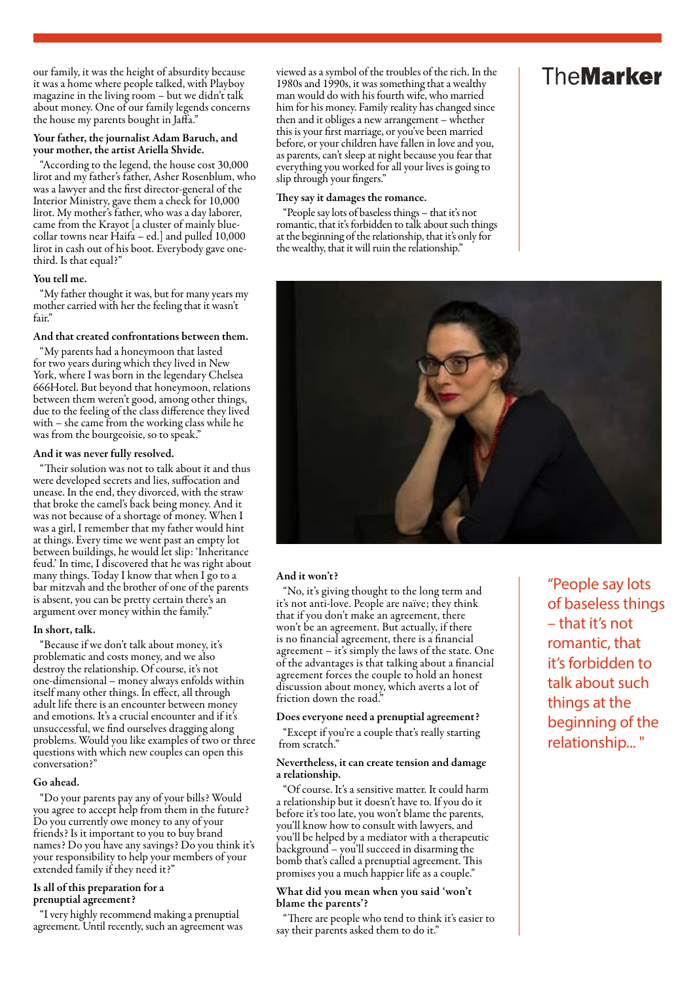our family, it was the height of absurdity because it was a home where people talked, with Playboy magazine in the living room - but we didn't talk about money. One of our family legends concerns the house my parents bought in Jaffa."

#### Your father, the journalist Adam Baruch, and your mother, the artist Ariella Shvide.

"According to the legend, the house cost 30,000 lirot and my father's father, Asher Rosenblum, who was a lawyer and the first director-general of the Interior Ministry, gave them a check for 10,000 lirot. My mother's father, who was a day laborer, came from the Krayot [a cluster of mainly bluecollar towns near Haifa – ed.] and pulled 10,000 lirot in cash out of his boot. Everybody gave onethird. Is that equal?"

#### You tell me.

"My father thought it was, but for many years my mother carried with her the feeling that it wasn't fair."

#### And that created confrontations between them.

"My parents had a honeymoon that lasted for two years during which they lived in New York, where I was born in the legendary Chelsea 666Hotel. But beyond that honeymoon, relations between them weren't good, among other things, due to the feeling of the class difference they lived with – she came from the working class while he was from the bourgeoisie, so to speak."

#### And it was never fully resolved.

"Their solution was not to talk about it and thus were developed secrets and lies, suffocation and unease. In the end, they divorced, with the straw that broke the camel's back being money. And it was not because of a shortage of money. When I was a girl, I remember that my father would hint at things. Every time we went past an empty lot between buildings, he would let slip: 'Inheritance feud.' In time, I discovered that he was right about many things. Today I know that when I go to a bar mitzvah and the brother of one of the parents is absent, you can be pretty certain there's an argument over money within the family."

#### In short, talk.

"Because if we don't talk about money, it's problematic and costs money, and we also destroy the relationship. Of course, it's not one-dimensional – money always enfolds within itself many other things. In effect, all through adult life there is an encounter between money and emotions. It's a crucial encounter and if it's unsuccessful, we find ourselves dragging along problems. Would you like examples of two or three questions with which new couples can open this conversation?"

#### Go ahead.

"Do your parents pay any of your bills? Would you agree to accept help from them in the future? Do you currently owe money to any of your friends? Is it important to you to buy brand names? Do you have any savings? Do you think it's your responsibility to help your members of your extended family if they need it?"

#### Is all of this preparation for a prenuptial agreement?

"I very highly recommend making a prenuptial agreement. Until recently, such an agreement was viewed as a symbol of the troubles of the rich. In the 1980s and 1990s, it was something that a wealthy man would do with his fourth wife, who married him for his money. Family reality has changed since then and it obliges a new arrangement – whether this is your first marriage, or you've been married before, or your children have fallen in love and you, as parents, can't sleep at night because you fear that everything you worked for all your lives is going to slip through your fingers."

#### They say it damages the romance.

"People say lots of baseless things – that it's not romantic, that it's forbidden to talk about such things at the beginning of the relationship, that it's only for the wealthy, that it will ruin the relationship."

## **TheMarker**



#### And it won't?

"No, it's giving thought to the long term and it's not anti-love. People are naïve; they think that if you don't make an agreement, there won't be an agreement. But actually, if there is no financial agreement, there is a financial agreement – it's simply the laws of the state. One of the advantages is that talking about a financial agreement forces the couple to hold an honest discussion about money, which averts a lot of friction down the road."

#### Does everyone need a prenuptial agreement?

"Except if you're a couple that's really starting from scratch."

#### Nevertheless, it can create tension and damage a relationship.

"Of course. It's a sensitive matter. It could harm a relationship but it doesn't have to. If you do it before it's too late, you won't blame the parents, you'll know how to consult with lawyers, and you'll be helped by a mediator with a therapeutic background – you'll succeed in disarming the bomb that's called a prenuptial agreement. This promises you a much happier life as a couple."

#### What did you mean when you said 'won't blame the parents'?

"There are people who tend to think it's easier to say their parents asked them to do it."

"People say lots of baseless things – that it's not romantic, that it's forbidden to talk about such things at the beginning of the relationship... "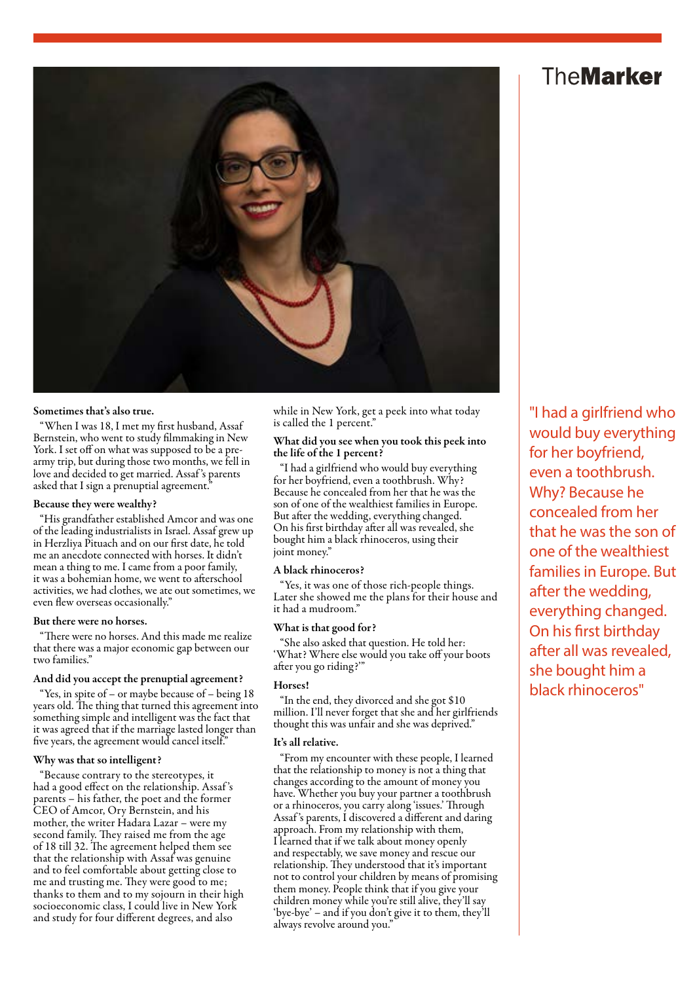### **TheMarker**



#### Sometimes that's also true.

"When I was 18, I met my first husband, Assaf Bernstein, who went to study filmmaking in New York. I set off on what was supposed to be a prearmy trip, but during those two months, we fell in love and decided to get married. Assaf 's parents asked that I sign a prenuptial agreement.

#### Because they were wealthy?

"His grandfather established Amcor and was one of the leading industrialists in Israel. Assaf grew up in Herzliya Pituach and on our first date, he told me an anecdote connected with horses. It didn't mean a thing to me. I came from a poor family, it was a bohemian home, we went to afterschool activities, we had clothes, we ate out sometimes, we even flew overseas occasionally."

#### But there were no horses.

There were no horses. And this made me realize that there was a major economic gap between our two families."

#### And did you accept the prenuptial agreement?

"Yes, in spite of – or maybe because of – being 18 years old. The thing that turned this agreement into something simple and intelligent was the fact that it was agreed that if the marriage lasted longer than five years, the agreement would cancel itself."

#### Why was that so intelligent?

"Because contrary to the stereotypes, it had a good effect on the relationship. Assaf 's parents – his father, the poet and the former CEO of Amcor, Ory Bernstein, and his mother, the writer Hadara Lazar – were my second family. They raised me from the age of 18 till 32. The agreement helped them see that the relationship with Assaf was genuine and to feel comfortable about getting close to me and trusting me. They were good to me; thanks to them and to my sojourn in their high socioeconomic class, I could live in New York and study for four different degrees, and also

while in New York, get a peek into what today is called the 1 percent."

#### What did you see when you took this peek into the life of the 1 percent?

"I had a girlfriend who would buy everything for her boyfriend, even a toothbrush. Why? Because he concealed from her that he was the son of one of the wealthiest families in Europe. But after the wedding, everything changed. On his first birthday after all was revealed, she bought him a black rhinoceros, using their joint money."

#### A black rhinoceros?

"Yes, it was one of those rich-people things. Later she showed me the plans for their house and it had a mudroom."

#### What is that good for?

"She also asked that question. He told her: 'What? Where else would you take off your boots after you go riding?'"

#### Horses!

"In the end, they divorced and she got \$10 million. I'll never forget that she and her girlfriends thought this was unfair and she was deprived."

#### It's all relative.

"From my encounter with these people, I learned that the relationship to money is not a thing that changes according to the amount of money you have. Whether you buy your partner a toothbrush or a rhinoceros, you carry along 'issues.' Through Assaf 's parents, I discovered a different and daring approach. From my relationship with them, I learned that if we talk about money openly and respectably, we save money and rescue our relationship. They understood that it's important not to control your children by means of promising them money. People think that if you give your children money while you're still alive, they'll say 'bye-bye' – and if you don't give it to them, they'll always revolve around you."

"I had a girlfriend who would buy everything for her boyfriend, even a toothbrush. Why? Because he concealed from her that he was the son of one of the wealthiest families in Europe. But after the wedding, everything changed. On his first birthday after all was revealed, she bought him a black rhinoceros"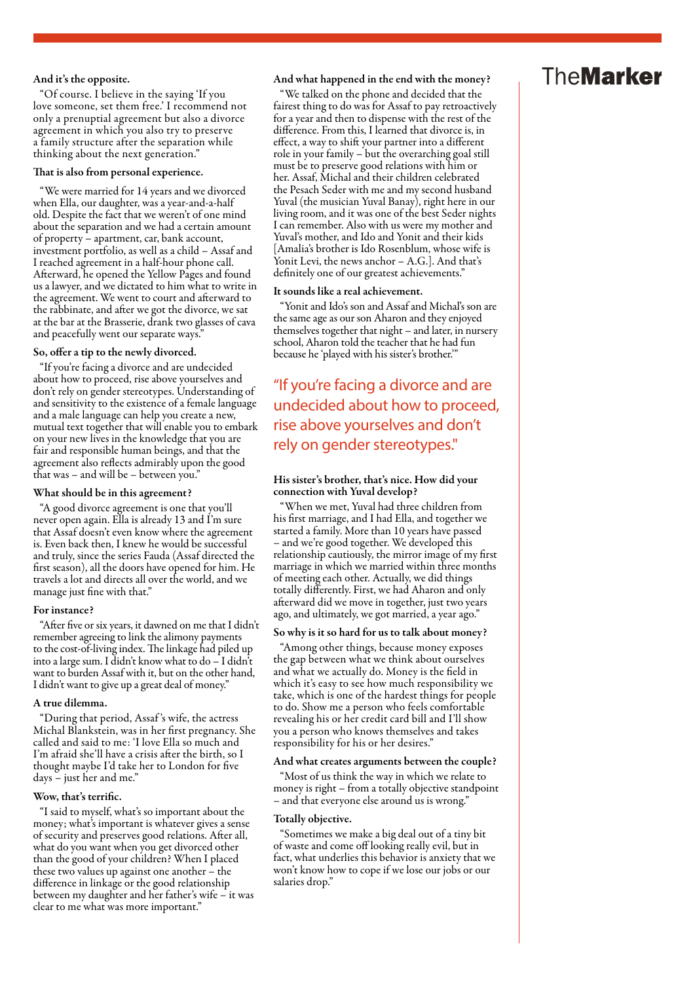#### And it's the opposite.

"Of course. I believe in the saying 'If you love someone, set them free.' I recommend not only a prenuptial agreement but also a divorce agreement in which you also try to preserve a family structure after the separation while thinking about the next generation."

#### That is also from personal experience.

"We were married for 14 years and we divorced when Ella, our daughter, was a year-and-a-half old. Despite the fact that we weren't of one mind about the separation and we had a certain amount of property – apartment, car, bank account, investment portfolio, as well as a child – Assaf and I reached agreement in a half-hour phone call. Afterward, he opened the Yellow Pages and found us a lawyer, and we dictated to him what to write in the agreement. We went to court and afterward to the rabbinate, and after we got the divorce, we sat at the bar at the Brasserie, drank two glasses of cava and peacefully went our separate ways."

#### So, offer a tip to the newly divorced.

"If you're facing a divorce and are undecided about how to proceed, rise above yourselves and don't rely on gender stereotypes. Understanding of and sensitivity to the existence of a female language and a male language can help you create a new, mutual text together that will enable you to embark on your new lives in the knowledge that you are fair and responsible human beings, and that the agreement also reflects admirably upon the good that was – and will be – between you."

#### What should be in this agreement?

"A good divorce agreement is one that you'll never open again. Ella is already 13 and I'm sure that Assaf doesn't even know where the agreement is. Even back then, I knew he would be successful and truly, since the series Fauda (Assaf directed the first season), all the doors have opened for him. He travels a lot and directs all over the world, and we manage just fine with that."

#### For instance?

"After five or six years, it dawned on me that I didn't remember agreeing to link the alimony payments to the cost-of-living index. The linkage had piled up into a large sum. I didn't know what to do – I didn't want to burden Assaf with it, but on the other hand, I didn't want to give up a great deal of money."

#### A true dilemma.

"During that period, Assaf 's wife, the actress Michal Blankstein, was in her first pregnancy. She called and said to me: 'I love Ella so much and I'm afraid she'll have a crisis after the birth, so I thought maybe I'd take her to London for five days – just her and me."

#### Wow, that's terrific.

"I said to myself, what's so important about the money; what's important is whatever gives a sense of security and preserves good relations. After all, what do you want when you get divorced other than the good of your children? When I placed these two values up against one another – the difference in linkage or the good relationship between my daughter and her father's wife – it was clear to me what was more important."

#### And what happened in the end with the money?

"We talked on the phone and decided that the fairest thing to do was for Assaf to pay retroactively for a year and then to dispense with the rest of the difference. From this, I learned that divorce is, in effect, a way to shift your partner into a different role in your family – but the overarching goal still must be to preserve good relations with him or her. Assaf, Michal and their children celebrated the Pesach Seder with me and my second husband Yuval (the musician Yuval Banay), right here in our living room, and it was one of the best Seder nights I can remember. Also with us were my mother and Yuval's mother, and Ido and Yonit and their kids [Amalia's brother is Ido Rosenblum, whose wife is Yonit Levi, the news anchor – A.G.]. And that's definitely one of our greatest achievements."

#### It sounds like a real achievement.

"Yonit and Ido's son and Assaf and Michal's son are the same age as our son Aharon and they enjoyed themselves together that night – and later, in nursery school, Aharon told the teacher that he had fun because he 'played with his sister's brother.'"

### "If you're facing a divorce and are undecided about how to proceed, rise above yourselves and don't rely on gender stereotypes."

#### His sister's brother, that's nice. How did your connection with Yuval develop?

"When we met, Yuval had three children from his first marriage, and I had Ella, and together we started a family. More than 10 years have passed – and we're good together. We developed this relationship cautiously, the mirror image of my first marriage in which we married within three months of meeting each other. Actually, we did things totally differently. First, we had Aharon and only afterward did we move in together, just two years ago, and ultimately, we got married, a year ago."

#### So why is it so hard for us to talk about money?

"Among other things, because money exposes the gap between what we think about ourselves and what we actually do. Money is the field in which it's easy to see how much responsibility we take, which is one of the hardest things for people to do. Show me a person who feels comfortable revealing his or her credit card bill and I'll show you a person who knows themselves and takes responsibility for his or her desires."

#### And what creates arguments between the couple?

"Most of us think the way in which we relate to money is right – from a totally objective standpoint – and that everyone else around us is wrong."

#### Totally objective.

"Sometimes we make a big deal out of a tiny bit of waste and come off looking really evil, but in fact, what underlies this behavior is anxiety that we won't know how to cope if we lose our jobs or our salaries drop."

### **TheMarker**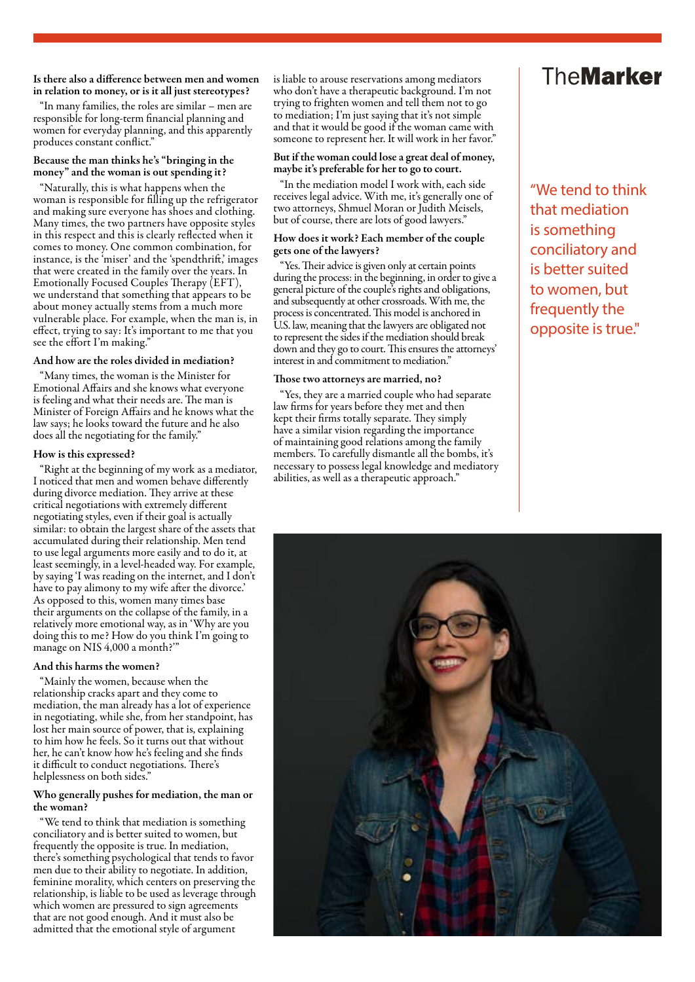Is there also a difference between men and women in relation to money, or is it all just stereotypes?

"In many families, the roles are similar – men are responsible for long-term financial planning and women for everyday planning, and this apparently produces constant conflict."

#### Because the man thinks he's "bringing in the money" and the woman is out spending it?

"Naturally, this is what happens when the woman is responsible for filling up the refrigerator and making sure everyone has shoes and clothing. Many times, the two partners have opposite styles in this respect and this is clearly reflected when it comes to money. One common combination, for instance, is the 'miser' and the 'spendthrift,' images that were created in the family over the years. In Emotionally Focused Couples Therapy (EFT), we understand that something that appears to be about money actually stems from a much more vulnerable place. For example, when the man is, in effect, trying to say: It's important to me that you see the effort I'm making."

#### And how are the roles divided in mediation?

"Many times, the woman is the Minister for Emotional Affairs and she knows what everyone is feeling and what their needs are. The man is Minister of Foreign Affairs and he knows what the law says; he looks toward the future and he also does all the negotiating for the family."

#### How is this expressed?

"Right at the beginning of my work as a mediator, I noticed that men and women behave differently during divorce mediation. They arrive at these critical negotiations with extremely different negotiating styles, even if their goal is actually similar: to obtain the largest share of the assets that accumulated during their relationship. Men tend to use legal arguments more easily and to do it, at least seemingly, in a level-headed way. For example, by saying 'I was reading on the internet, and I don't have to pay alimony to my wife after the divorce.' As opposed to this, women many times base their arguments on the collapse of the family, in a relatively more emotional way, as in 'Why are you doing this to me? How do you think I'm going to manage on NIS 4,000 a month?"

#### And this harms the women?

"Mainly the women, because when the relationship cracks apart and they come to mediation, the man already has a lot of experience in negotiating, while she, from her standpoint, has lost her main source of power, that is, explaining to him how he feels. So it turns out that without her, he can't know how he's feeling and she finds it difficult to conduct negotiations. There's helplessness on both sides."

#### Who generally pushes for mediation, the man or the woman?

"We tend to think that mediation is something conciliatory and is better suited to women, but frequently the opposite is true. In mediation, there's something psychological that tends to favor men due to their ability to negotiate. In addition, feminine morality, which centers on preserving the relationship, is liable to be used as leverage through which women are pressured to sign agreements that are not good enough. And it must also be admitted that the emotional style of argument

is liable to arouse reservations among mediators who don't have a therapeutic background. I'm not trying to frighten women and tell them not to go to mediation; I'm just saying that it's not simple and that it would be good if the woman came with someone to represent her. It will work in her favor."

#### But if the woman could lose a great deal of money, maybe it's preferable for her to go to court.

"In the mediation model I work with, each side receives legal advice. With me, it's generally one of two attorneys, Shmuel Moran or Judith Meisels, but of course, there are lots of good lawyers."

#### How does it work? Each member of the couple gets one of the lawyers?

"Yes. Their advice is given only at certain points during the process: in the beginning, in order to give a general picture of the couple's rights and obligations, and subsequently at other crossroads. With me, the process is concentrated. This model is anchored in U.S. law, meaning that the lawyers are obligated not to represent the sides if the mediation should break down and they go to court. This ensures the attorneys' interest in and commitment to mediation."

#### Those two attorneys are married, no?

"Yes, they are a married couple who had separate law firms for years before they met and then kept their firms totally separate. They simply have a similar vision regarding the importance of maintaining good relations among the family members. To carefully dismantle all the bombs, it's necessary to possess legal knowledge and mediatory abilities, as well as a therapeutic approach."

### **TheMarker**

"We tend to think that mediation is something conciliatory and is better suited to women, but frequently the opposite is true."

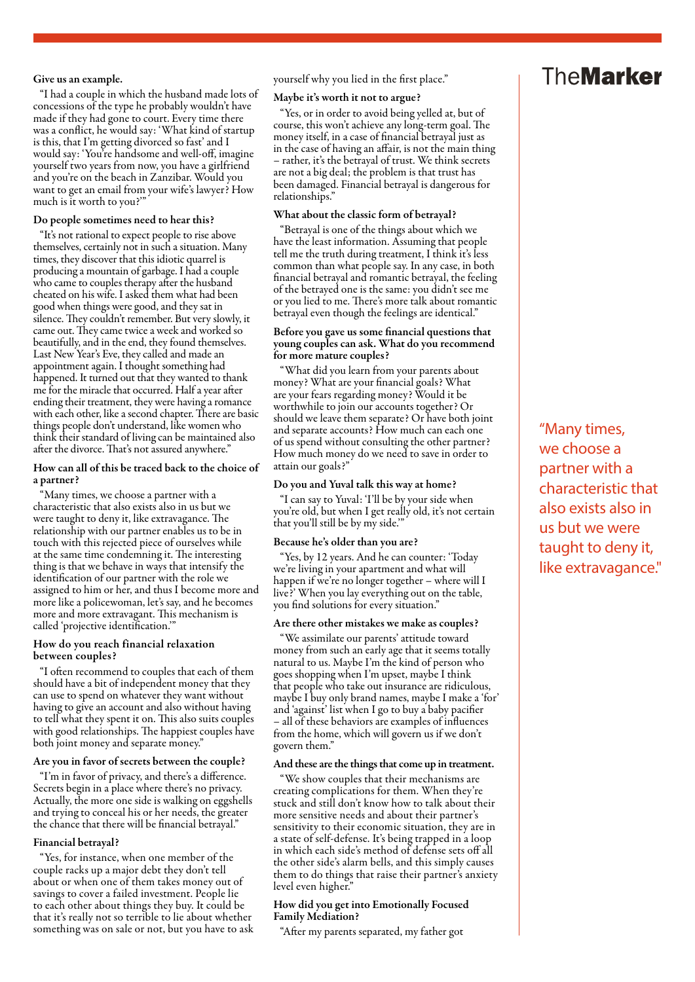#### Give us an example.

"I had a couple in which the husband made lots of concessions of the type he probably wouldn't have made if they had gone to court. Every time there was a conflict, he would say: 'What kind of startup is this, that I'm getting divorced so fast' and I would say: 'You're handsome and well-off, imagine yourself two years from now, you have a girlfriend and you're on the beach in Zanzibar. Would you want to get an email from your wife's lawyer? How much is it worth to you?'"

#### Do people sometimes need to hear this?

"It's not rational to expect people to rise above themselves, certainly not in such a situation. Many times, they discover that this idiotic quarrel is producing a mountain of garbage. I had a couple who came to couples therapy after the husband cheated on his wife. I asked them what had been good when things were good, and they sat in silence. They couldn't remember. But very slowly, it came out. They came twice a week and worked so beautifully, and in the end, they found themselves. Last New Year's Eve, they called and made an appointment again. I thought something had happened. It turned out that they wanted to thank me for the miracle that occurred. Half a year after ending their treatment, they were having a romance with each other, like a second chapter. There are basic things people don't understand, like women who think their standard of living can be maintained also after the divorce. That's not assured anywhere."

#### How can all of this be traced back to the choice of a partner?

"Many times, we choose a partner with a characteristic that also exists also in us but we were taught to deny it, like extravagance. The relationship with our partner enables us to be in touch with this rejected piece of ourselves while at the same time condemning it. The interesting thing is that we behave in ways that intensify the identification of our partner with the role we assigned to him or her, and thus I become more and more like a policewoman, let's say, and he becomes more and more extravagant. This mechanism is called 'projective identification.'"

#### How do you reach financial relaxation between couples?

"I often recommend to couples that each of them should have a bit of independent money that they can use to spend on whatever they want without having to give an account and also without having to tell what they spent it on. This also suits couples with good relationships. The happiest couples have both joint money and separate money."

#### Are you in favor of secrets between the couple?

"I'm in favor of privacy, and there's a difference. Secrets begin in a place where there's no privacy. Actually, the more one side is walking on eggshells and trying to conceal his or her needs, the greater the chance that there will be financial betrayal."

#### Financial betrayal?

"Yes, for instance, when one member of the couple racks up a major debt they don't tell about or when one of them takes money out of savings to cover a failed investment. People lie to each other about things they buy. It could be that it's really not so terrible to lie about whether something was on sale or not, but you have to ask yourself why you lied in the first place."

#### Maybe it's worth it not to argue?

"Yes, or in order to avoid being yelled at, but of course, this won't achieve any long-term goal. The money itself, in a case of financial betrayal just as in the case of having an affair, is not the main thing – rather, it's the betrayal of trust. We think secrets are not a big deal; the problem is that trust has been damaged. Financial betrayal is dangerous for relationships."

#### What about the classic form of betrayal?

"Betrayal is one of the things about which we have the least information. Assuming that people tell me the truth during treatment, I think it's less common than what people say. In any case, in both financial betrayal and romantic betrayal, the feeling of the betrayed one is the same: you didn't see me or you lied to me. There's more talk about romantic betrayal even though the feelings are identical."

#### Before you gave us some financial questions that young couples can ask. What do you recommend for more mature couples?

"What did you learn from your parents about money? What are your financial goals? What are your fears regarding money? Would it be worthwhile to join our accounts together? Or should we leave them separate? Or have both joint and separate accounts? How much can each one of us spend without consulting the other partner? How much money do we need to save in order to attain our goals?"

#### Do you and Yuval talk this way at home?

"I can say to Yuval: 'I'll be by your side when you're old, but when I get really old, it's not certain that you'll still be by my side.'"

#### Because he's older than you are?

"Yes, by 12 years. And he can counter: 'Today we're living in your apartment and what will happen if we're no longer together – where will I live?' When you lay everything out on the table, you find solutions for every situation."

#### Are there other mistakes we make as couples?

"We assimilate our parents' attitude toward money from such an early age that it seems totally natural to us. Maybe I'm the kind of person who goes shopping when I'm upset, maybe I think that people who take out insurance are ridiculous, maybe I buy only brand names, maybe I make a 'for' and 'against' list when I go to buy a baby pacifier – all of these behaviors are examples of influences from the home, which will govern us if we don't govern them."

#### And these are the things that come up in treatment.

"We show couples that their mechanisms are creating complications for them. When they're stuck and still don't know how to talk about their more sensitive needs and about their partner's sensitivity to their economic situation, they are in a state of self-defense. It's being trapped in a loop in which each side's method of defense sets off all the other side's alarm bells, and this simply causes them to do things that raise their partner's anxiety level even higher."

#### How did you get into Emotionally Focused Family Mediation?

"After my parents separated, my father got

### **TheMarker**

"Many times, we choose a partner with a characteristic that also exists also in us but we were taught to deny it, like extravagance."